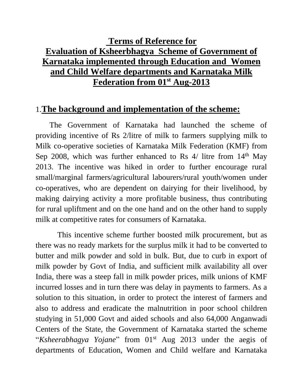# **Terms of Reference for Evaluation of Ksheerbhagya Scheme of Government of Karnataka implemented through Education and Women and Child Welfare departments and Karnataka Milk Federation from 01 st Aug-2013**

#### 1.**The background and implementation of the scheme:**

 The Government of Karnataka had launched the scheme of providing incentive of Rs 2/litre of milk to farmers supplying milk to Milk co-operative societies of Karnataka Milk Federation (KMF) from Sep 2008, which was further enhanced to Rs  $4/$  litre from  $14<sup>th</sup>$  May 2013. The incentive was hiked in order to further encourage rural small/marginal farmers/agricultural labourers/rural youth/women under co-operatives, who are dependent on dairying for their livelihood, by making dairying activity a more profitable business, thus contributing for rural upliftment and on the one hand and on the other hand to supply milk at competitive rates for consumers of Karnataka.

 This incentive scheme further boosted milk procurement, but as there was no ready markets for the surplus milk it had to be converted to butter and milk powder and sold in bulk. But, due to curb in export of milk powder by Govt of India, and sufficient milk availability all over India, there was a steep fall in milk powder prices, milk unions of KMF incurred losses and in turn there was delay in payments to farmers. As a solution to this situation, in order to protect the interest of farmers and also to address and eradicate the malnutrition in poor school children studying in 51,000 Govt and aided schools and also 64,000 Anganwadi Centers of the State, the Government of Karnataka started the scheme "Ksheerabhagya Yojane" from 01<sup>st</sup> Aug 2013 under the aegis of departments of Education, Women and Child welfare and Karnataka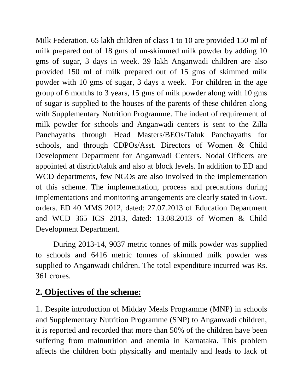Milk Federation. 65 lakh children of class 1 to 10 are provided 150 ml of milk prepared out of 18 gms of un-skimmed milk powder by adding 10 gms of sugar, 3 days in week. 39 lakh Anganwadi children are also provided 150 ml of milk prepared out of 15 gms of skimmed milk powder with 10 gms of sugar, 3 days a week. For children in the age group of 6 months to 3 years, 15 gms of milk powder along with 10 gms of sugar is supplied to the houses of the parents of these children along with Supplementary Nutrition Programme. The indent of requirement of milk powder for schools and Anganwadi centers is sent to the Zilla Panchayaths through Head Masters/BEOs/Taluk Panchayaths for schools, and through CDPOs/Asst. Directors of Women & Child Development Department for Anganwadi Centers. Nodal Officers are appointed at district/taluk and also at block levels. In addition to ED and WCD departments, few NGOs are also involved in the implementation of this scheme. The implementation, process and precautions during implementations and monitoring arrangements are clearly stated in Govt. orders. ED 40 MMS 2012, dated: 27.07.2013 of Education Department and WCD 365 ICS 2013, dated: 13.08.2013 of Women & Child Development Department.

During 2013-14, 9037 metric tonnes of milk powder was supplied to schools and 6416 metric tonnes of skimmed milk powder was supplied to Anganwadi children. The total expenditure incurred was Rs. 361 crores.

# **2. Objectives of the scheme:**

1. Despite introduction of Midday Meals Programme (MNP) in schools and Supplementary Nutrition Programme (SNP) to Anganwadi children, it is reported and recorded that more than 50% of the children have been suffering from malnutrition and anemia in Karnataka. This problem affects the children both physically and mentally and leads to lack of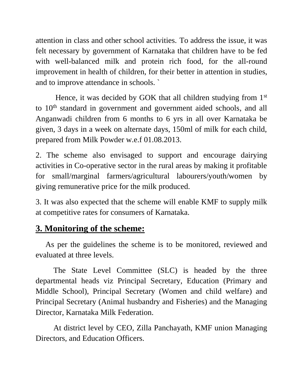attention in class and other school activities. To address the issue, it was felt necessary by government of Karnataka that children have to be fed with well-balanced milk and protein rich food, for the all-round improvement in health of children, for their better in attention in studies, and to improve attendance in schools. `

Hence, it was decided by GOK that all children studying from 1<sup>st</sup> to 10<sup>th</sup> standard in government and government aided schools, and all Anganwadi children from 6 months to 6 yrs in all over Karnataka be given, 3 days in a week on alternate days, 150ml of milk for each child, prepared from Milk Powder w.e.f 01.08.2013.

2. The scheme also envisaged to support and encourage dairying activities in Co-operative sector in the rural areas by making it profitable for small/marginal farmers/agricultural labourers/youth/women by giving remunerative price for the milk produced.

3. It was also expected that the scheme will enable KMF to supply milk at competitive rates for consumers of Karnataka.

## **3. Monitoring of the scheme:**

 As per the guidelines the scheme is to be monitored, reviewed and evaluated at three levels.

The State Level Committee (SLC) is headed by the three departmental heads viz Principal Secretary, Education (Primary and Middle School), Principal Secretary (Women and child welfare) and Principal Secretary (Animal husbandry and Fisheries) and the Managing Director, Karnataka Milk Federation.

At district level by CEO, Zilla Panchayath, KMF union Managing Directors, and Education Officers.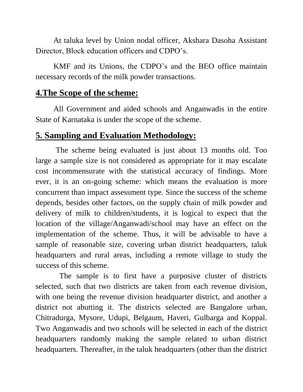At taluka level by Union nodal officer, Akshara Dasoha Assistant Director, Block education officers and CDPO's.

KMF and its Unions, the CDPO's and the BEO office maintain necessary records of the milk powder transactions.

#### **4.The Scope of the scheme:**

All Government and aided schools and Anganwadis in the entire State of Karnataka is under the scope of the scheme.

## **5. Sampling and Evaluation Methodology:**

 The scheme being evaluated is just about 13 months old. Too large a sample size is not considered as appropriate for it may escalate cost incommensurate with the statistical accuracy of findings. More ever, it is an on-going scheme: which means the evaluation is more concurrent than impact assessment type. Since the success of the scheme depends, besides other factors, on the supply chain of milk powder and delivery of milk to children/students, it is logical to expect that the location of the village/Anganwadi/school may have an effect on the implementation of the scheme. Thus, it will be advisable to have a sample of reasonable size, covering urban district headquarters, taluk headquarters and rural areas, including a remote village to study the success of this scheme.

 The sample is to first have a purposive cluster of districts selected, such that two districts are taken from each revenue division, with one being the revenue division headquarter district, and another a district not abutting it. The districts selected are Bangalore urban, Chitradurga, Mysore, Udupi, Belgaum, Haveri, Gulbarga and Koppal. Two Anganwadis and two schools will be selected in each of the district headquarters randomly making the sample related to urban district headquarters. Thereafter, in the taluk headquarters (other than the district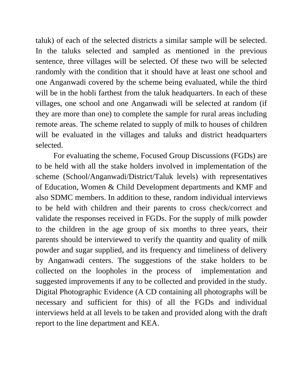taluk) of each of the selected districts a similar sample will be selected. In the taluks selected and sampled as mentioned in the previous sentence, three villages will be selected. Of these two will be selected randomly with the condition that it should have at least one school and one Anganwadi covered by the scheme being evaluated, while the third will be in the hobli farthest from the taluk headquarters. In each of these villages, one school and one Anganwadi will be selected at random (if they are more than one) to complete the sample for rural areas including remote areas. The scheme related to supply of milk to houses of children will be evaluated in the villages and taluks and district headquarters selected.

For evaluating the scheme, Focused Group Discussions (FGDs) are to be held with all the stake holders involved in implementation of the scheme (School/Anganwadi/District/Taluk levels) with representatives of Education, Women & Child Development departments and KMF and also SDMC members. In addition to these, random individual interviews to be held with children and their parents to cross check/correct and validate the responses received in FGDs. For the supply of milk powder to the children in the age group of six months to three years, their parents should be interviewed to verify the quantity and quality of milk powder and sugar supplied, and its frequency and timeliness of delivery by Anganwadi centers. The suggestions of the stake holders to be collected on the loopholes in the process of implementation and suggested improvements if any to be collected and provided in the study. Digital Photographic Evidence (A CD containing all photographs will be necessary and sufficient for this) of all the FGDs and individual interviews held at all levels to be taken and provided along with the draft report to the line department and KEA.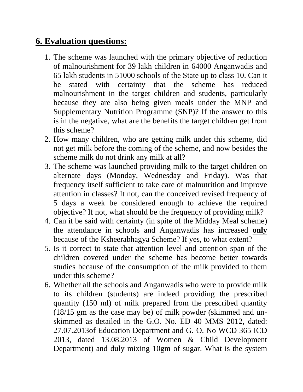# **6. Evaluation questions:**

- 1. The scheme was launched with the primary objective of reduction of malnourishment for 39 lakh children in 64000 Anganwadis and 65 lakh students in 51000 schools of the State up to class 10. Can it be stated with certainty that the scheme has reduced malnourishment in the target children and students, particularly because they are also being given meals under the MNP and Supplementary Nutrition Programme (SNP)? If the answer to this is in the negative, what are the benefits the target children get from this scheme?
- 2. How many children, who are getting milk under this scheme, did not get milk before the coming of the scheme, and now besides the scheme milk do not drink any milk at all?
- 3. The scheme was launched providing milk to the target children on alternate days (Monday, Wednesday and Friday). Was that frequency itself sufficient to take care of malnutrition and improve attention in classes? It not, can the conceived revised frequency of 5 days a week be considered enough to achieve the required objective? If not, what should be the frequency of providing milk?
- 4. Can it be said with certainty (in spite of the Midday Meal scheme) the attendance in schools and Anganwadis has increased **only** because of the Ksheerabhagya Scheme? If yes, to what extent?
- 5. Is it correct to state that attention level and attention span of the children covered under the scheme has become better towards studies because of the consumption of the milk provided to them under this scheme?
- 6. Whether all the schools and Anganwadis who were to provide milk to its children (students) are indeed providing the prescribed quantity (150 ml) of milk prepared from the prescribed quantity (18/15 gm as the case may be) of milk powder (skimmed and unskimmed as detailed in the G.O. No. ED 40 MMS 2012, dated: 27.07.2013of Education Department and G. O. No WCD 365 ICD 2013, dated 13.08.2013 of Women & Child Development Department) and duly mixing 10gm of sugar. What is the system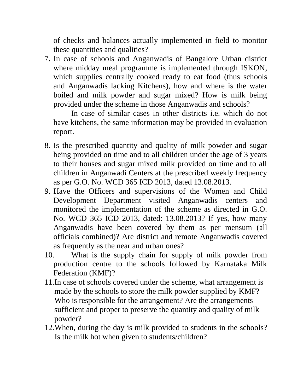of checks and balances actually implemented in field to monitor these quantities and qualities?

7. In case of schools and Anganwadis of Bangalore Urban district where midday meal programme is implemented through ISKON, which supplies centrally cooked ready to eat food (thus schools and Anganwadis lacking Kitchens), how and where is the water boiled and milk powder and sugar mixed? How is milk being provided under the scheme in those Anganwadis and schools?

In case of similar cases in other districts i.e. which do not have kitchens, the same information may be provided in evaluation report.

- 8. Is the prescribed quantity and quality of milk powder and sugar being provided on time and to all children under the age of 3 years to their houses and sugar mixed milk provided on time and to all children in Anganwadi Centers at the prescribed weekly frequency as per G.O. No. WCD 365 ICD 2013, dated 13.08.2013.
- 9. Have the Officers and supervisions of the Women and Child Development Department visited Anganwadis centers and monitored the implementation of the scheme as directed in G.O. No. WCD 365 ICD 2013, dated: 13.08.2013? If yes, how many Anganwadis have been covered by them as per mensum (all officials combined)? Are district and remote Anganwadis covered as frequently as the near and urban ones?
- 10. What is the supply chain for supply of milk powder from production centre to the schools followed by Karnataka Milk Federation (KMF)?
- 11.In case of schools covered under the scheme, what arrangement is made by the schools to store the milk powder supplied by KMF? Who is responsible for the arrangement? Are the arrangements sufficient and proper to preserve the quantity and quality of milk powder?
- 12.When, during the day is milk provided to students in the schools? Is the milk hot when given to students/children?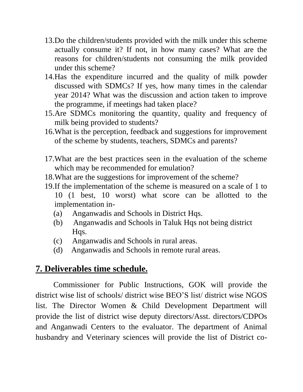- 13.Do the children/students provided with the milk under this scheme actually consume it? If not, in how many cases? What are the reasons for children/students not consuming the milk provided under this scheme?
- 14.Has the expenditure incurred and the quality of milk powder discussed with SDMCs? If yes, how many times in the calendar year 2014? What was the discussion and action taken to improve the programme, if meetings had taken place?
- 15.Are SDMCs monitoring the quantity, quality and frequency of milk being provided to students?
- 16.What is the perception, feedback and suggestions for improvement of the scheme by students, teachers, SDMCs and parents?
- 17.What are the best practices seen in the evaluation of the scheme which may be recommended for emulation?
- 18.What are the suggestions for improvement of the scheme?
- 19.If the implementation of the scheme is measured on a scale of 1 to

10 (1 best, 10 worst) what score can be allotted to the implementation in-

- (a) Anganwadis and Schools in District Hqs.
- (b) Anganwadis and Schools in Taluk Hqs not being district Hqs.
- (c) Anganwadis and Schools in rural areas.
- (d) Anganwadis and Schools in remote rural areas.

# **7. Deliverables time schedule.**

Commissioner for Public Instructions, GOK will provide the district wise list of schools/ district wise BEO'S list/ district wise NGOS list. The Director Women & Child Development Department will provide the list of district wise deputy directors/Asst. directors/CDPOs and Anganwadi Centers to the evaluator. The department of Animal husbandry and Veterinary sciences will provide the list of District co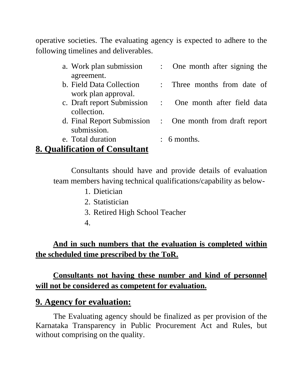operative societies. The evaluating agency is expected to adhere to the following timelines and deliverables.

| a. Work plan submission                             | : One month after signing the                            |
|-----------------------------------------------------|----------------------------------------------------------|
| agreement.                                          |                                                          |
| b. Field Data Collection                            | : Three months from date of                              |
| work plan approval.                                 |                                                          |
| c. Draft report Submission                          | One month after field data                               |
| collection.                                         |                                                          |
|                                                     | d. Final Report Submission : One month from draft report |
| submission.                                         |                                                          |
| $\mathbf{m}$ $\mathbf{1}$ $\mathbf{1}$ $\mathbf{1}$ |                                                          |

#### e. Total duration : 6 months.

#### **8. Qualification of Consultant**

Consultants should have and provide details of evaluation team members having technical qualifications/capability as below-

- 1. Dietician
- 2. Statistician
- 3. Retired High School Teacher
- 4.

## **And in such numbers that the evaluation is completed within the scheduled time prescribed by the ToR.**

#### **Consultants not having these number and kind of personnel will not be considered as competent for evaluation.**

## **9. Agency for evaluation:**

The Evaluating agency should be finalized as per provision of the Karnataka Transparency in Public Procurement Act and Rules, but without comprising on the quality.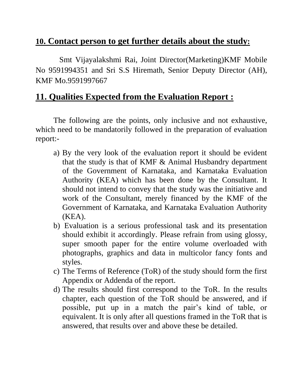## **10. Contact person to get further details about the study:**

 Smt Vijayalakshmi Rai, Joint Director(Marketing)KMF Mobile No 9591994351 and Sri S.S Hiremath, Senior Deputy Director (AH), KMF Mo.9591997667

#### **11. Qualities Expected from the Evaluation Report :**

The following are the points, only inclusive and not exhaustive, which need to be mandatorily followed in the preparation of evaluation report:-

- a) By the very look of the evaluation report it should be evident that the study is that of KMF & Animal Husbandry department of the Government of Karnataka, and Karnataka Evaluation Authority (KEA) which has been done by the Consultant. It should not intend to convey that the study was the initiative and work of the Consultant, merely financed by the KMF of the Government of Karnataka, and Karnataka Evaluation Authority (KEA).
- b) Evaluation is a serious professional task and its presentation should exhibit it accordingly. Please refrain from using glossy, super smooth paper for the entire volume overloaded with photographs, graphics and data in multicolor fancy fonts and styles.
- c) The Terms of Reference (ToR) of the study should form the first Appendix or Addenda of the report.
- d) The results should first correspond to the ToR. In the results chapter, each question of the ToR should be answered, and if possible, put up in a match the pair's kind of table, or equivalent. It is only after all questions framed in the ToR that is answered, that results over and above these be detailed.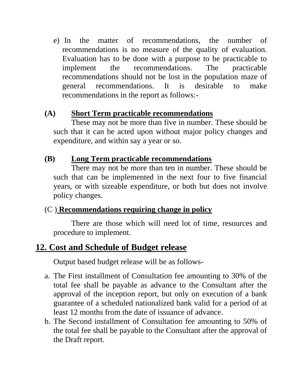e) In the matter of recommendations, the number of recommendations is no measure of the quality of evaluation. Evaluation has to be done with a purpose to be practicable to implement the recommendations. The practicable recommendations should not be lost in the population maze of general recommendations. It is desirable to make recommendations in the report as follows:-

#### **(A) Short Term practicable recommendations**

These may not be more than five in number. These should be such that it can be acted upon without major policy changes and expenditure, and within say a year or so.

#### **(B) Long Term practicable recommendations**

There may not be more than ten in number. These should be such that can be implemented in the next four to five financial years, or with sizeable expenditure, or both but does not involve policy changes.

## (C ) **Recommendations requiring change in policy**

There are those which will need lot of time, resources and procedure to implement.

# **12. Cost and Schedule of Budget release**

Output based budget release will be as follows-

- a. The First installment of Consultation fee amounting to 30% of the total fee shall be payable as advance to the Consultant after the approval of the inception report, but only on execution of a bank guarantee of a scheduled nationalized bank valid for a period of at least 12 months from the date of issuance of advance.
- b. The Second installment of Consultation fee amounting to 50% of the total fee shall be payable to the Consultant after the approval of the Draft report.